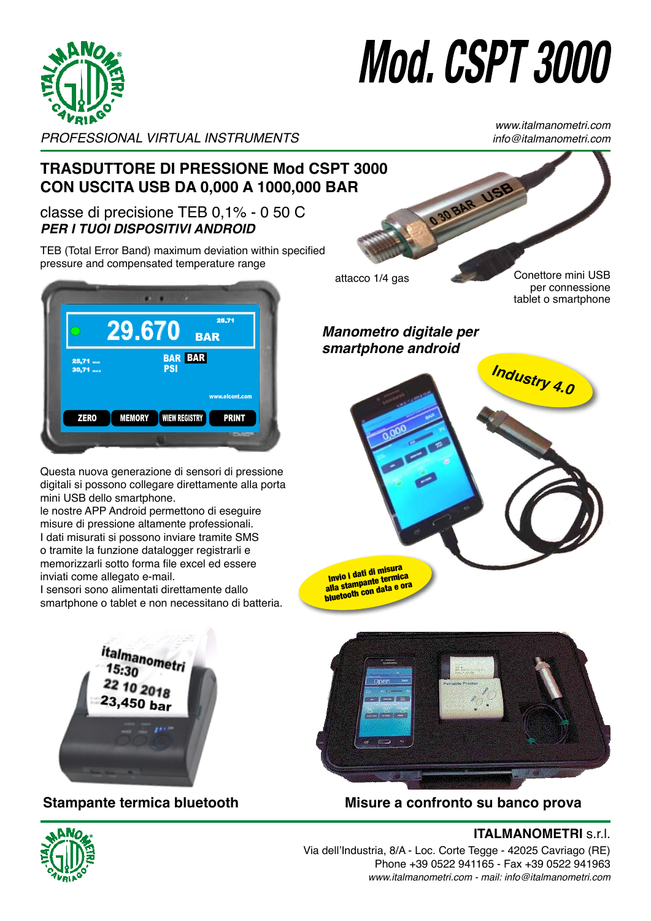

## I. USPT 3000 VUI I UUUU

*PROFESSIONAL VIRTUAL INSTRUMENTS info@italmanometri.com* PROFESSIONAL VIRTUAL INSTRUMENTS PROFESSIONAL VIRTUAL INSTRUMENTS

www.italmanometri.com **www.italmanometri.com info@italmanometri.com www.italmanometri.com info@italmanometri.com**

#### **TRASDUTTORE DI PRESSIONE Mod CSPT 3000**  CON USCITA USB DA 0,000 A 1000,000 BAR OBAR US PRESSURE TRANSPORTED MODELAND DUTTORE DI PRESSIONE Mod CSPT 3000  $U_{\mathbf{y}}$  output from  $\mathbf{y}$   $\mathbf{y}$  and  $\mathbf{y}$   $\mathbf{y}$  and  $\mathbf{y}$   $\mathbf{y}$  and  $\mathbf{y}$

### classe di precisione TEB 0,1% - 0 50 C *PER I TUOI DISPOSITIVI ANDROID*

TEB (Total Error Band) maximum deviation within specified pressure and compensated temperature range  **and compensated temperature range**



Questa nuova generazione di sensori di pressione digitali si possono collegare direttamente alla porta mini USB dello smartphone. our dello sindiferione possons sonsgars 3 dello smartphone. our allow a concontry

le nostre APP Android permettono di eseguire ie nostre APP Android permettono di eseguire<br>misure di pressione altamente professionali. I dati misurati si possono inviare tramite SMS o tramite la funzione datalogger registrarli e s manner a render containing or region and contained a render to real attachments. inviati come allegato e-mail. an *Android and pessons in the channers* of emorizzarli sotto forma file excel ed essere  $e$ la funzione datalogger registrarli e strong portflottene and began of

niviali como allogato o mali.<br>I sensori sono alimentati direttamente dallo smartphone o tablet e non necessitano di batteria.<br>
<sub>Sending</sub> the measurement as an e-mail attachment and attachment and attachment and attachment and attachment a sori sono alimentati direttam The sensors are produced the second from the second the sense of  $\frac{1}{2}$ 



 $\mathcal{P}_{\mathcal{A}}$  and  $\mathcal{P}_{\mathcal{A}}$  and  $\mathcal{P}_{\mathcal{A}}$  and  $\mathcal{P}_{\mathcal{A}}$  and  $\mathcal{P}_{\mathcal{A}}$  and  $\mathcal{P}_{\mathcal{A}}$  and  $\mathcal{P}_{\mathcal{A}}$  and  $\mathcal{P}_{\mathcal{A}}$  and  $\mathcal{P}_{\mathcal{A}}$  and  $\mathcal{P}_{\mathcal{A}}$  and  $\mathcal{P}_{\mathcal{A}}$  and  $\mathcal{P}_{\mathcal{A$ 

**Sending the measurement di misura**<br>
Invio i dati di misura<br>
Ila stampante termi **to the bluetooth the bluetooth conduct**<br> **the bluetooth condata e or with dealerships data e ora to the bluetooth thermal printer with date and time**



Stampante termica bluetooth Misure a confronto su banco prova Measures compared on a test bench 



Stampante termica bluetooth m<br>Inante termica bluetooth  $\sum_{i=1}^{n}$ 



**ITALMANOMETRI** s.r.l. <u>Measures compared on a test bench</u> **www.italmanometri.com**

**info@italmanometri.com**

Via dell'Industria, 8/A - Loc. Corte Tegge - 42025 Cavriago (RE) **www.italmanometri.com** Phone +39 0522 941165 - Fax +39 0522 941963 **info@italmanometri.com www.italmanometri.com info@italmanometri.com** *www.italmanometri.com - mail: info@italmanometri.com*  **Via dell'Industria, 8/A - Loc. info@italmanometri.com** 

#### $\Omega$ onettore mini USB per connessione **or smartphone**

**Industry 4.0 Industry 4.0** *Industry 4.0* **Industry 4.0**

**Industry 4.0**